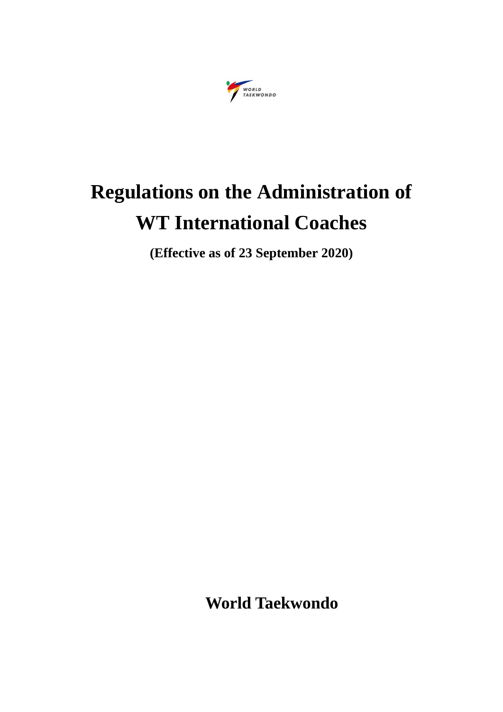

# **Regulations on the Administration of WT International Coaches**

**(Effective as of 23 September 2020)**

**World Taekwondo**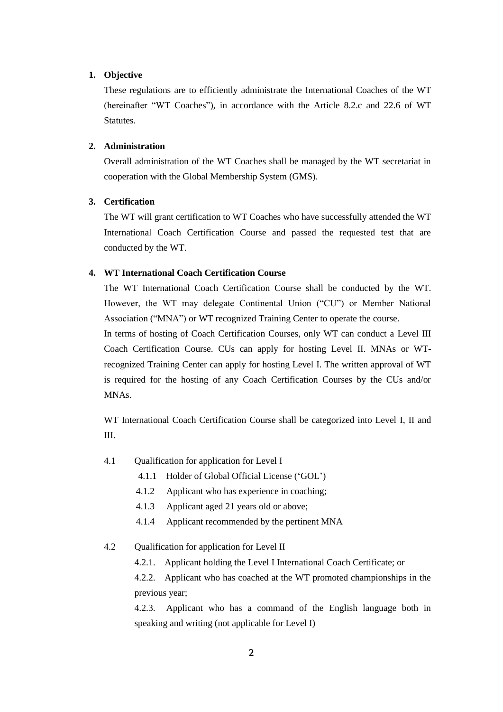# **1. Objective**

These regulations are to efficiently administrate the International Coaches of the WT (hereinafter "WT Coaches"), in accordance with the Article 8.2.c and 22.6 of WT Statutes.

## **2. Administration**

Overall administration of the WT Coaches shall be managed by the WT secretariat in cooperation with the Global Membership System (GMS).

# **3. Certification**

The WT will grant certification to WT Coaches who have successfully attended the WT International Coach Certification Course and passed the requested test that are conducted by the WT.

# **4. WT International Coach Certification Course**

The WT International Coach Certification Course shall be conducted by the WT. However, the WT may delegate Continental Union ("CU") or Member National Association ("MNA") or WT recognized Training Center to operate the course.

In terms of hosting of Coach Certification Courses, only WT can conduct a Level III Coach Certification Course. CUs can apply for hosting Level II. MNAs or WTrecognized Training Center can apply for hosting Level I. The written approval of WT is required for the hosting of any Coach Certification Courses by the CUs and/or MNAs.

WT International Coach Certification Course shall be categorized into Level I, II and III.

- 4.1 Qualification for application for Level I
	- 4.1.1 Holder of Global Official License ('GOL')
	- 4.1.2 Applicant who has experience in coaching;
	- 4.1.3 Applicant aged 21 years old or above;
	- 4.1.4 Applicant recommended by the pertinent MNA
- 4.2 Qualification for application for Level II
	- 4.2.1. Applicant holding the Level I International Coach Certificate; or

4.2.2. Applicant who has coached at the WT promoted championships in the previous year;

4.2.3. Applicant who has a command of the English language both in speaking and writing (not applicable for Level I)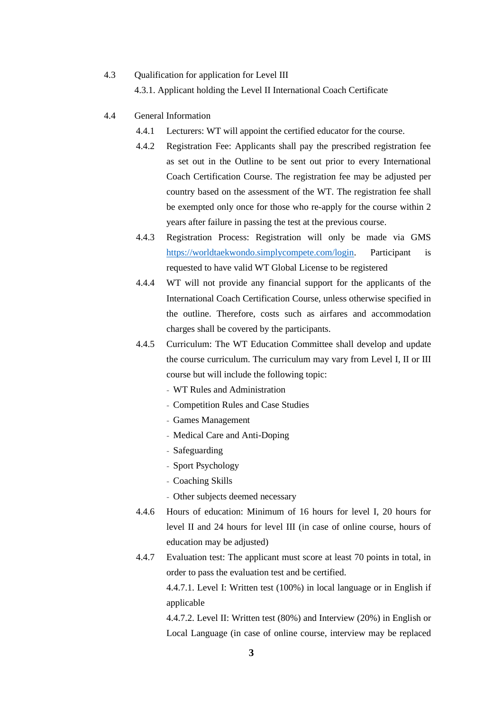# 4.3 Qualification for application for Level III 4.3.1. Applicant holding the Level II International Coach Certificate

# 4.4 General Information

- 4.4.1 Lecturers: WT will appoint the certified educator for the course.
- 4.4.2 Registration Fee: Applicants shall pay the prescribed registration fee as set out in the Outline to be sent out prior to every International Coach Certification Course. The registration fee may be adjusted per country based on the assessment of the WT. The registration fee shall be exempted only once for those who re-apply for the course within 2 years after failure in passing the test at the previous course.
- 4.4.3 Registration Process: Registration will only be made via GMS [https://worldtaekwondo.simplycompete.com/login.](https://worldtaekwondo.simplycompete.com/login) Participant is requested to have valid WT Global License to be registered
- 4.4.4 WT will not provide any financial support for the applicants of the International Coach Certification Course, unless otherwise specified in the outline. Therefore, costs such as airfares and accommodation charges shall be covered by the participants.
- 4.4.5 Curriculum: The WT Education Committee shall develop and update the course curriculum. The curriculum may vary from Level I, II or III course but will include the following topic:
	- WT Rules and Administration
	- Competition Rules and Case Studies
	- Games Management
	- Medical Care and Anti-Doping
	- Safeguarding
	- Sport Psychology
	- Coaching Skills
	- Other subjects deemed necessary
- 4.4.6 Hours of education: Minimum of 16 hours for level I, 20 hours for level II and 24 hours for level III (in case of online course, hours of education may be adjusted)
- 4.4.7 Evaluation test: The applicant must score at least 70 points in total, in order to pass the evaluation test and be certified.

4.4.7.1. Level I: Written test (100%) in local language or in English if applicable

4.4.7.2. Level II: Written test (80%) and Interview (20%) in English or Local Language (in case of online course, interview may be replaced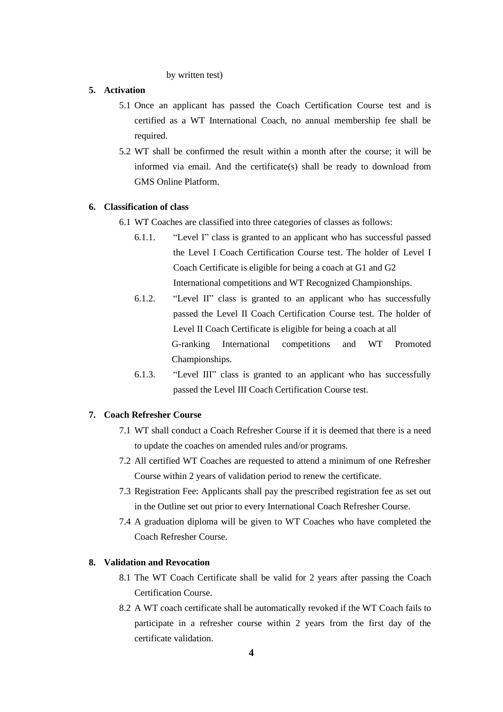#### by written test)

# **5. Activation**

- 5.1 Once an applicant has passed the Coach Certification Course test and is certified as a WT International Coach, no annual membership fee shall be required.
- 5.2 WT shall be confirmed the result within a month after the course; it will be informed via email. And the certificate(s) shall be ready to download from GMS Online Platform.

#### **6. Classification of class**

- 6.1 WT Coaches are classified into three categories of classes as follows:
	- 6.1.1. "Level I" class is granted to an applicant who has successful passed the Level I Coach Certification Course test. The holder of Level I Coach Certificate is eligible for being a coach at G1 and G2 International competitions and WT Recognized Championships.
	- 6.1.2. "Level II" class is granted to an applicant who has successfully passed the Level II Coach Certification Course test. The holder of Level II Coach Certificate is eligible for being a coach at all G-ranking International competitions and WT Promoted Championships.
	- 6.1.3. "Level III" class is granted to an applicant who has successfully passed the Level III Coach Certification Course test.

#### **7. Coach Refresher Course**

- 7.1 WT shall conduct a Coach Refresher Course if it is deemed that there is a need to update the coaches on amended rules and/or programs.
- 7.2 All certified WT Coaches are requested to attend a minimum of one Refresher Course within 2 years of validation period to renew the certificate.
- 7.3 Registration Fee: Applicants shall pay the prescribed registration fee as set out in the Outline set out prior to every International Coach Refresher Course.
- 7.4 A graduation diploma will be given to WT Coaches who have completed the Coach Refresher Course.

#### **8. Validation and Revocation**

- 8.1 The WT Coach Certificate shall be valid for 2 years after passing the Coach Certification Course.
- 8.2 A WT coach certificate shall be automatically revoked if the WT Coach fails to participate in a refresher course within 2 years from the first day of the certificate validation.